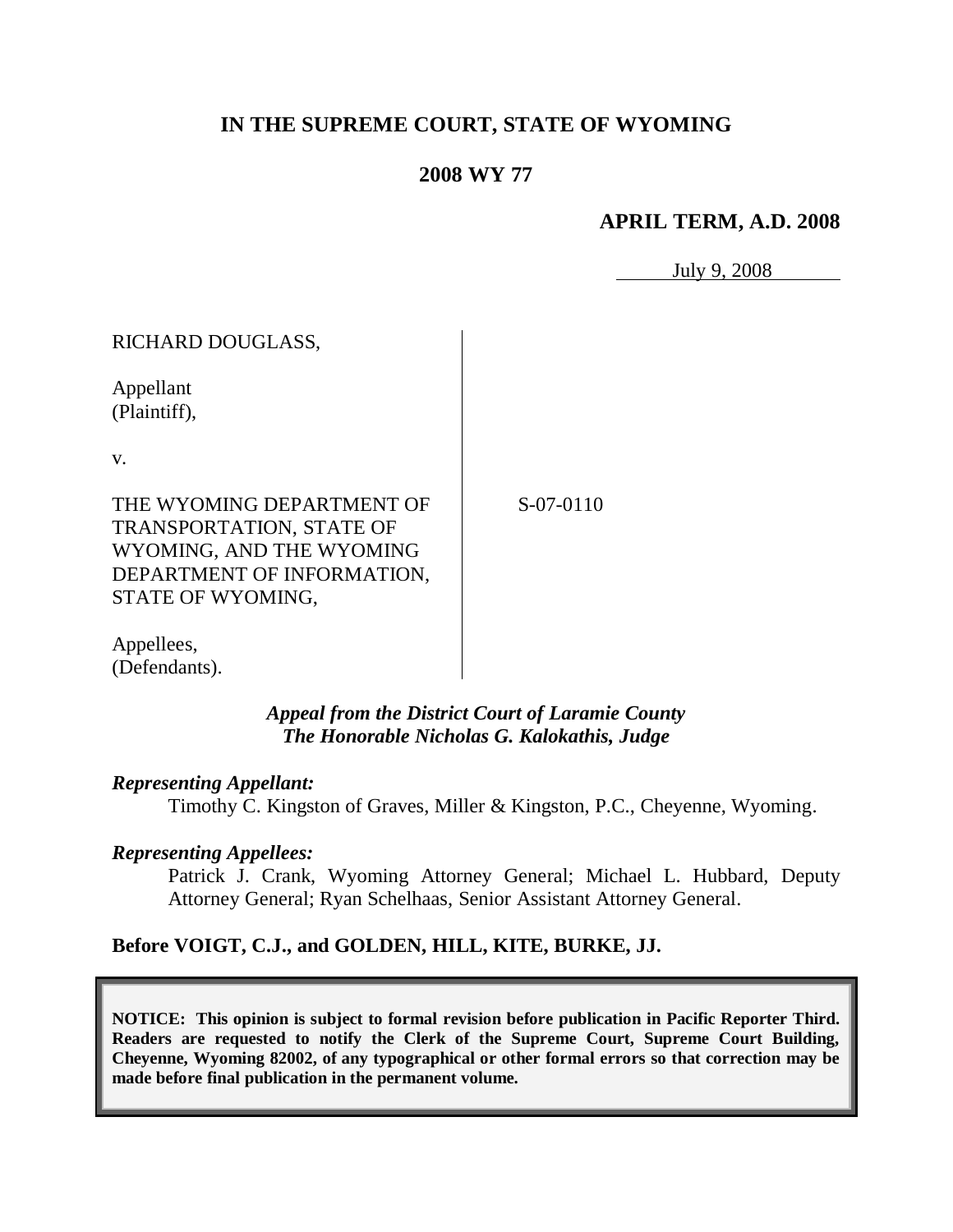# **IN THE SUPREME COURT, STATE OF WYOMING**

# **2008 WY 77**

### **APRIL TERM, A.D. 2008**

July 9, 2008

# RICHARD DOUGLASS,

Appellant (Plaintiff),

v.

THE WYOMING DEPARTMENT OF TRANSPORTATION, STATE OF WYOMING, AND THE WYOMING DEPARTMENT OF INFORMATION, STATE OF WYOMING,

S-07-0110

Appellees, (Defendants).

# *Appeal from the District Court of Laramie County The Honorable Nicholas G. Kalokathis, Judge*

### *Representing Appellant:*

Timothy C. Kingston of Graves, Miller & Kingston, P.C., Cheyenne, Wyoming.

### *Representing Appellees:*

Patrick J. Crank, Wyoming Attorney General; Michael L. Hubbard, Deputy Attorney General; Ryan Schelhaas, Senior Assistant Attorney General.

# **Before VOIGT, C.J., and GOLDEN, HILL, KITE, BURKE, JJ.**

**NOTICE: This opinion is subject to formal revision before publication in Pacific Reporter Third. Readers are requested to notify the Clerk of the Supreme Court, Supreme Court Building, Cheyenne, Wyoming 82002, of any typographical or other formal errors so that correction may be made before final publication in the permanent volume.**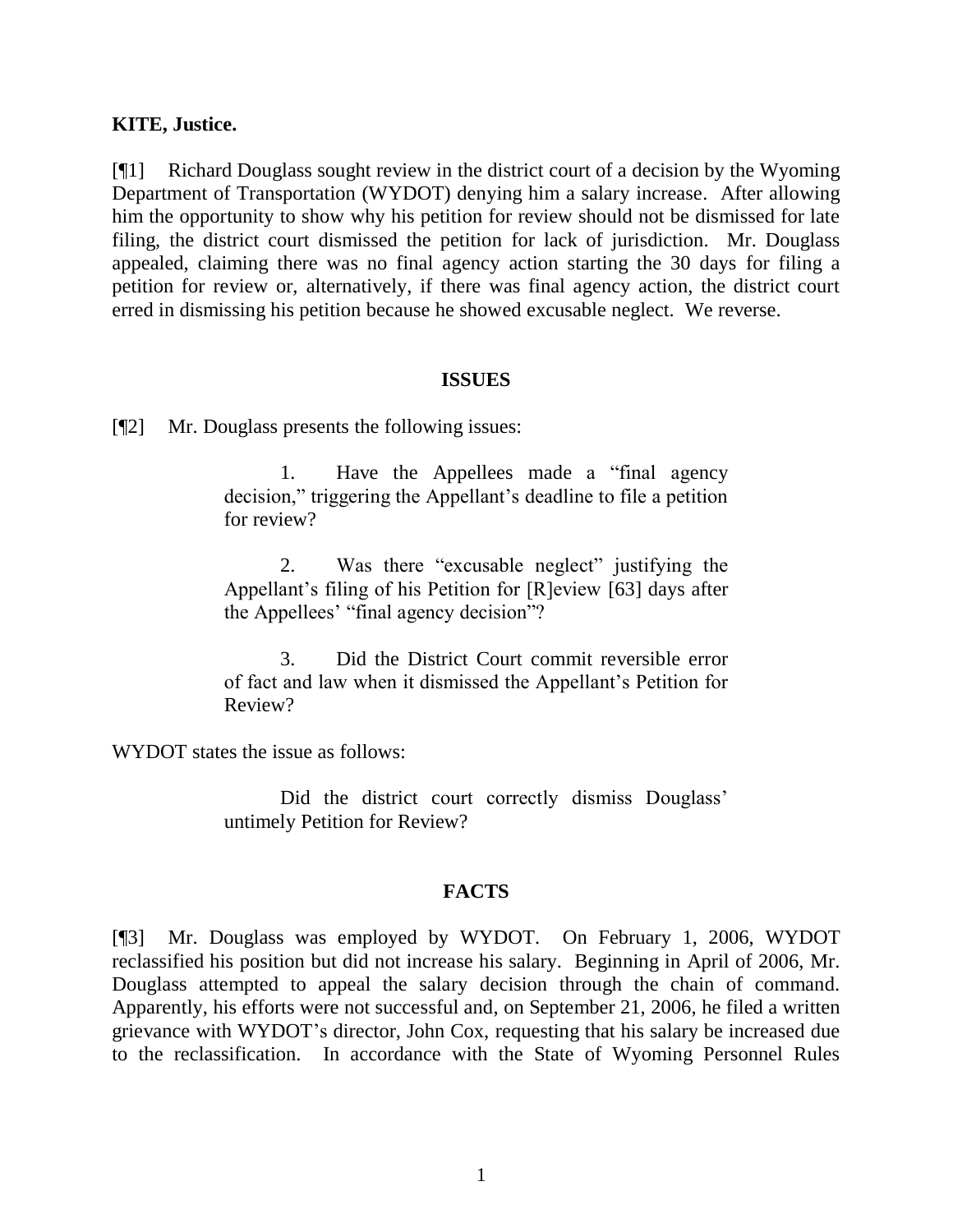### **KITE, Justice.**

[¶1] Richard Douglass sought review in the district court of a decision by the Wyoming Department of Transportation (WYDOT) denying him a salary increase. After allowing him the opportunity to show why his petition for review should not be dismissed for late filing, the district court dismissed the petition for lack of jurisdiction. Mr. Douglass appealed, claiming there was no final agency action starting the 30 days for filing a petition for review or, alternatively, if there was final agency action, the district court erred in dismissing his petition because he showed excusable neglect. We reverse.

### **ISSUES**

[¶2] Mr. Douglass presents the following issues:

1. Have the Appellees made a "final agency decision," triggering the Appellant"s deadline to file a petition for review?

2. Was there "excusable neglect" justifying the Appellant's filing of his Petition for [R]eview [63] days after the Appellees' "final agency decision"?

3. Did the District Court commit reversible error of fact and law when it dismissed the Appellant"s Petition for Review?

WYDOT states the issue as follows:

Did the district court correctly dismiss Douglass' untimely Petition for Review?

#### **FACTS**

[¶3] Mr. Douglass was employed by WYDOT. On February 1, 2006, WYDOT reclassified his position but did not increase his salary. Beginning in April of 2006, Mr. Douglass attempted to appeal the salary decision through the chain of command. Apparently, his efforts were not successful and, on September 21, 2006, he filed a written grievance with WYDOT"s director, John Cox, requesting that his salary be increased due to the reclassification. In accordance with the State of Wyoming Personnel Rules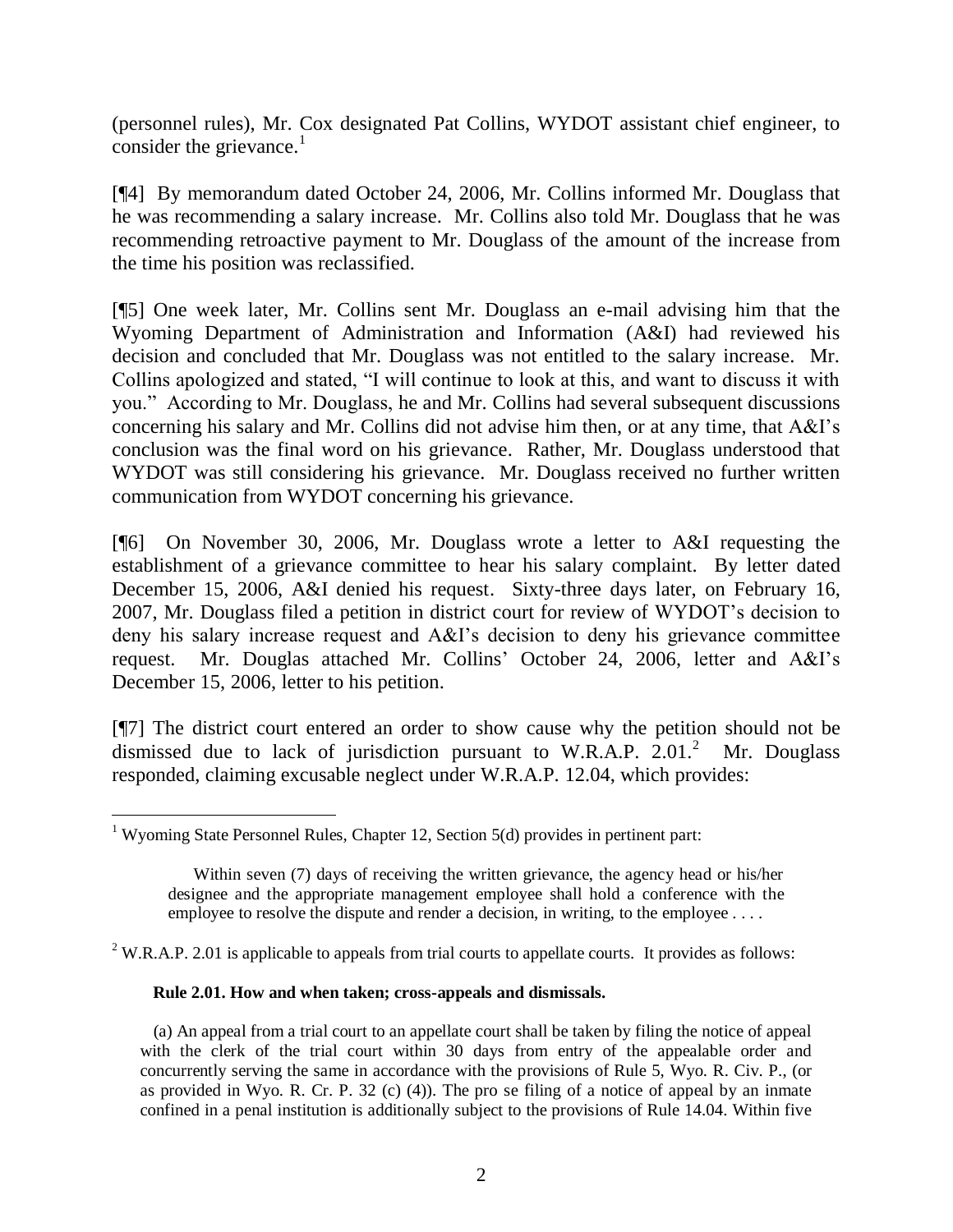(personnel rules), Mr. Cox designated Pat Collins, WYDOT assistant chief engineer, to consider the grievance. $<sup>1</sup>$ </sup>

[¶4] By memorandum dated October 24, 2006, Mr. Collins informed Mr. Douglass that he was recommending a salary increase. Mr. Collins also told Mr. Douglass that he was recommending retroactive payment to Mr. Douglass of the amount of the increase from the time his position was reclassified.

[¶5] One week later, Mr. Collins sent Mr. Douglass an e-mail advising him that the Wyoming Department of Administration and Information (A&I) had reviewed his decision and concluded that Mr. Douglass was not entitled to the salary increase. Mr. Collins apologized and stated, "I will continue to look at this, and want to discuss it with you." According to Mr. Douglass, he and Mr. Collins had several subsequent discussions concerning his salary and Mr. Collins did not advise him then, or at any time, that A&I"s conclusion was the final word on his grievance. Rather, Mr. Douglass understood that WYDOT was still considering his grievance. Mr. Douglass received no further written communication from WYDOT concerning his grievance.

[¶6] On November 30, 2006, Mr. Douglass wrote a letter to A&I requesting the establishment of a grievance committee to hear his salary complaint. By letter dated December 15, 2006, A&I denied his request. Sixty-three days later, on February 16, 2007, Mr. Douglass filed a petition in district court for review of WYDOT"s decision to deny his salary increase request and A&I's decision to deny his grievance committee request. Mr. Douglas attached Mr. Collins" October 24, 2006, letter and A&I"s December 15, 2006, letter to his petition.

[¶7] The district court entered an order to show cause why the petition should not be dismissed due to lack of jurisdiction pursuant to W.R.A.P.  $2.01$ <sup>2</sup> Mr. Douglass responded, claiming excusable neglect under W.R.A.P. 12.04, which provides:

 $2$  W.R.A.P. 2.01 is applicable to appeals from trial courts to appellate courts. It provides as follows:

#### **Rule 2.01. How and when taken; cross-appeals and dismissals.**

 $\overline{a}$ <sup>1</sup> Wyoming State Personnel Rules, Chapter 12, Section  $5(d)$  provides in pertinent part:

Within seven (7) days of receiving the written grievance, the agency head or his/her designee and the appropriate management employee shall hold a conference with the employee to resolve the dispute and render a decision, in writing, to the employee . . . .

<sup>(</sup>a) An appeal from a trial court to an appellate court shall be taken by filing the notice of appeal with the clerk of the trial court within 30 days from entry of the appealable order and concurrently serving the same in accordance with the provisions of Rule 5, Wyo. R. Civ. P., (or as provided in Wyo. R. Cr. P. 32 (c) (4)). The pro se filing of a notice of appeal by an inmate confined in a penal institution is additionally subject to the provisions of Rule 14.04. Within five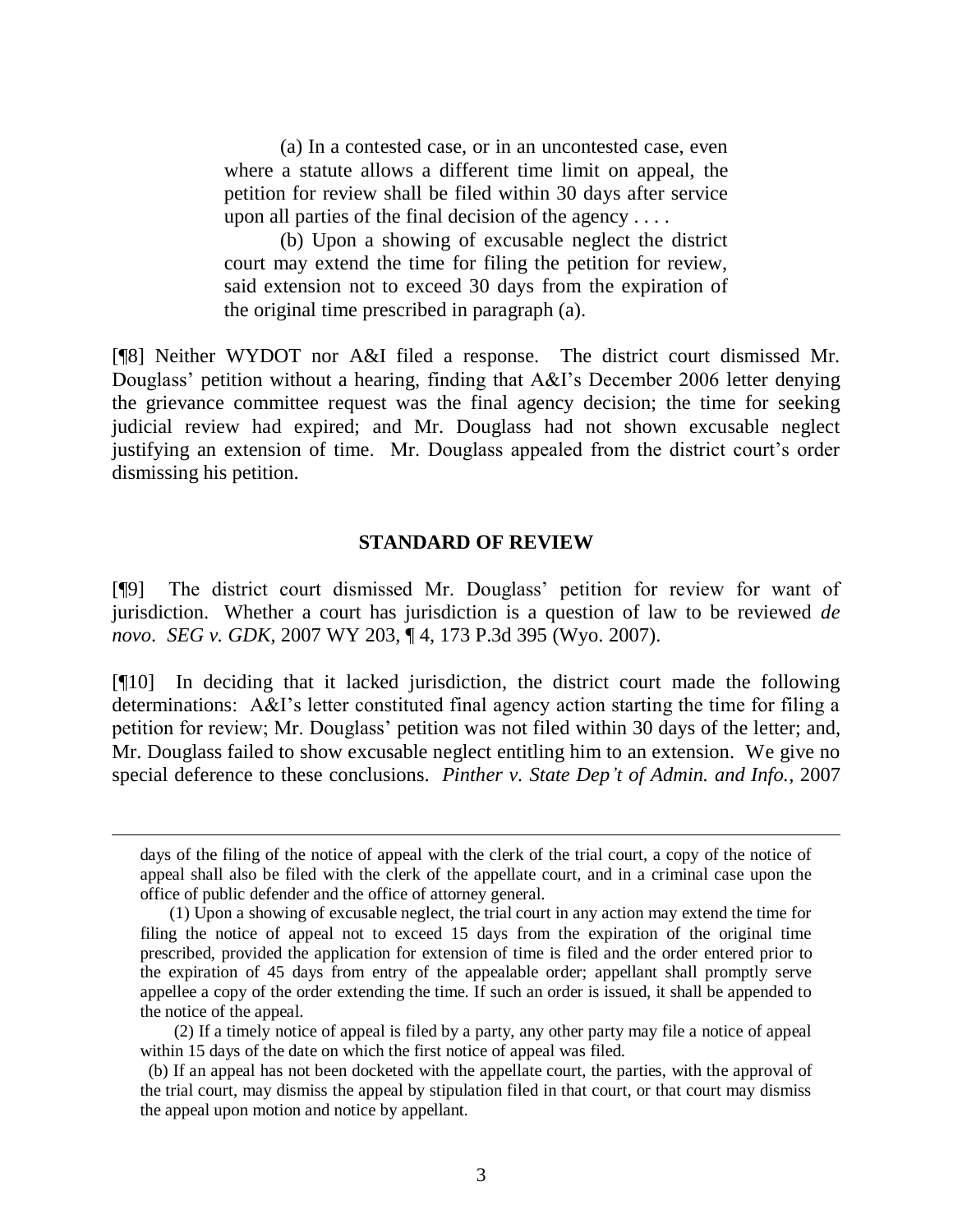(a) In a contested case, or in an uncontested case, even where a statute allows a different time limit on appeal, the petition for review shall be filed within 30 days after service upon all parties of the final decision of the agency . . . .

(b) Upon a showing of excusable neglect the district court may extend the time for filing the petition for review, said extension not to exceed 30 days from the expiration of the original time prescribed in paragraph (a).

[¶8] Neither WYDOT nor A&I filed a response. The district court dismissed Mr. Douglass' petition without a hearing, finding that A&I's December 2006 letter denying the grievance committee request was the final agency decision; the time for seeking judicial review had expired; and Mr. Douglass had not shown excusable neglect justifying an extension of time. Mr. Douglass appealed from the district court's order dismissing his petition.

### **STANDARD OF REVIEW**

[¶9] The district court dismissed Mr. Douglass" petition for review for want of jurisdiction. Whether a court has jurisdiction is a question of law to be reviewed *de novo*. *SEG v. GDK*, 2007 WY 203, ¶ 4, 173 P.3d 395 (Wyo. 2007).

[¶10] In deciding that it lacked jurisdiction, the district court made the following determinations: A&I's letter constituted final agency action starting the time for filing a petition for review; Mr. Douglass" petition was not filed within 30 days of the letter; and, Mr. Douglass failed to show excusable neglect entitling him to an extension. We give no special deference to these conclusions. *Pinther v. State Dep't of Admin. and Info.,* 2007

 $\overline{a}$ 

days of the filing of the notice of appeal with the clerk of the trial court, a copy of the notice of appeal shall also be filed with the clerk of the appellate court, and in a criminal case upon the office of public defender and the office of attorney general.

 <sup>(1)</sup> Upon a showing of excusable neglect, the trial court in any action may extend the time for filing the notice of appeal not to exceed 15 days from the expiration of the original time prescribed, provided the application for extension of time is filed and the order entered prior to the expiration of 45 days from entry of the appealable order; appellant shall promptly serve appellee a copy of the order extending the time. If such an order is issued, it shall be appended to the notice of the appeal.

 <sup>(2)</sup> If a timely notice of appeal is filed by a party, any other party may file a notice of appeal within 15 days of the date on which the first notice of appeal was filed.

 <sup>(</sup>b) If an appeal has not been docketed with the appellate court, the parties, with the approval of the trial court, may dismiss the appeal by stipulation filed in that court, or that court may dismiss the appeal upon motion and notice by appellant.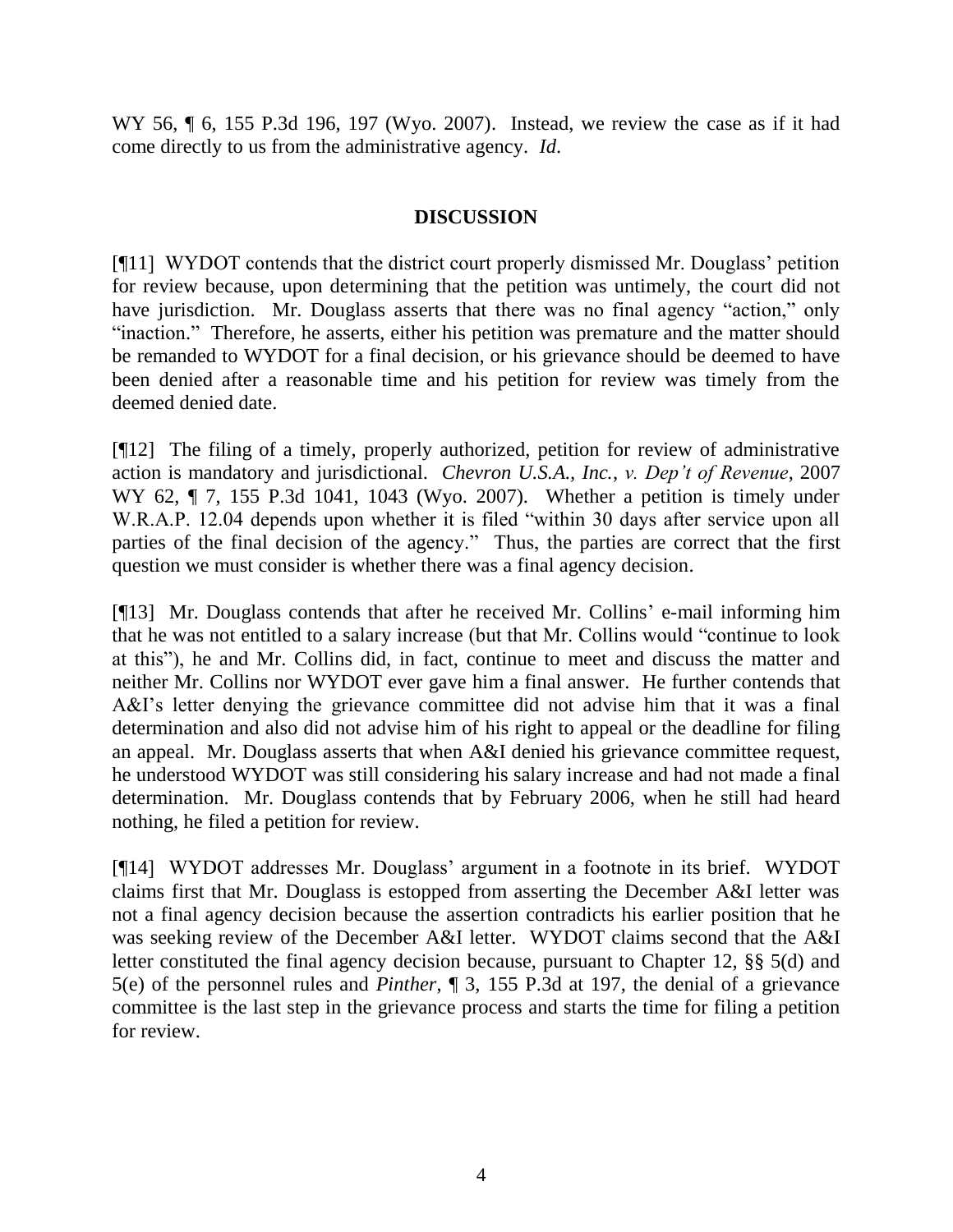WY 56, ¶ 6, 155 P.3d 196, 197 (Wyo. 2007). Instead, we review the case as if it had come directly to us from the administrative agency. *Id*.

# **DISCUSSION**

[¶11] WYDOT contends that the district court properly dismissed Mr. Douglass" petition for review because, upon determining that the petition was untimely, the court did not have jurisdiction. Mr. Douglass asserts that there was no final agency "action," only "inaction." Therefore, he asserts, either his petition was premature and the matter should be remanded to WYDOT for a final decision, or his grievance should be deemed to have been denied after a reasonable time and his petition for review was timely from the deemed denied date.

[¶12] The filing of a timely, properly authorized, petition for review of administrative action is mandatory and jurisdictional. *Chevron U.S.A., Inc.*, *v. Dep't of Revenue*, 2007 WY 62, ¶ 7, 155 P.3d 1041, 1043 (Wyo. 2007). Whether a petition is timely under W.R.A.P. 12.04 depends upon whether it is filed "within 30 days after service upon all parties of the final decision of the agency." Thus, the parties are correct that the first question we must consider is whether there was a final agency decision.

[¶13] Mr. Douglass contends that after he received Mr. Collins" e-mail informing him that he was not entitled to a salary increase (but that Mr. Collins would "continue to look at this"), he and Mr. Collins did, in fact, continue to meet and discuss the matter and neither Mr. Collins nor WYDOT ever gave him a final answer. He further contends that A&I"s letter denying the grievance committee did not advise him that it was a final determination and also did not advise him of his right to appeal or the deadline for filing an appeal. Mr. Douglass asserts that when A&I denied his grievance committee request, he understood WYDOT was still considering his salary increase and had not made a final determination. Mr. Douglass contends that by February 2006, when he still had heard nothing, he filed a petition for review.

[¶14] WYDOT addresses Mr. Douglass" argument in a footnote in its brief. WYDOT claims first that Mr. Douglass is estopped from asserting the December A&I letter was not a final agency decision because the assertion contradicts his earlier position that he was seeking review of the December A&I letter. WYDOT claims second that the A&I letter constituted the final agency decision because, pursuant to Chapter 12, §§ 5(d) and 5(e) of the personnel rules and *Pinther*, ¶ 3, 155 P.3d at 197, the denial of a grievance committee is the last step in the grievance process and starts the time for filing a petition for review.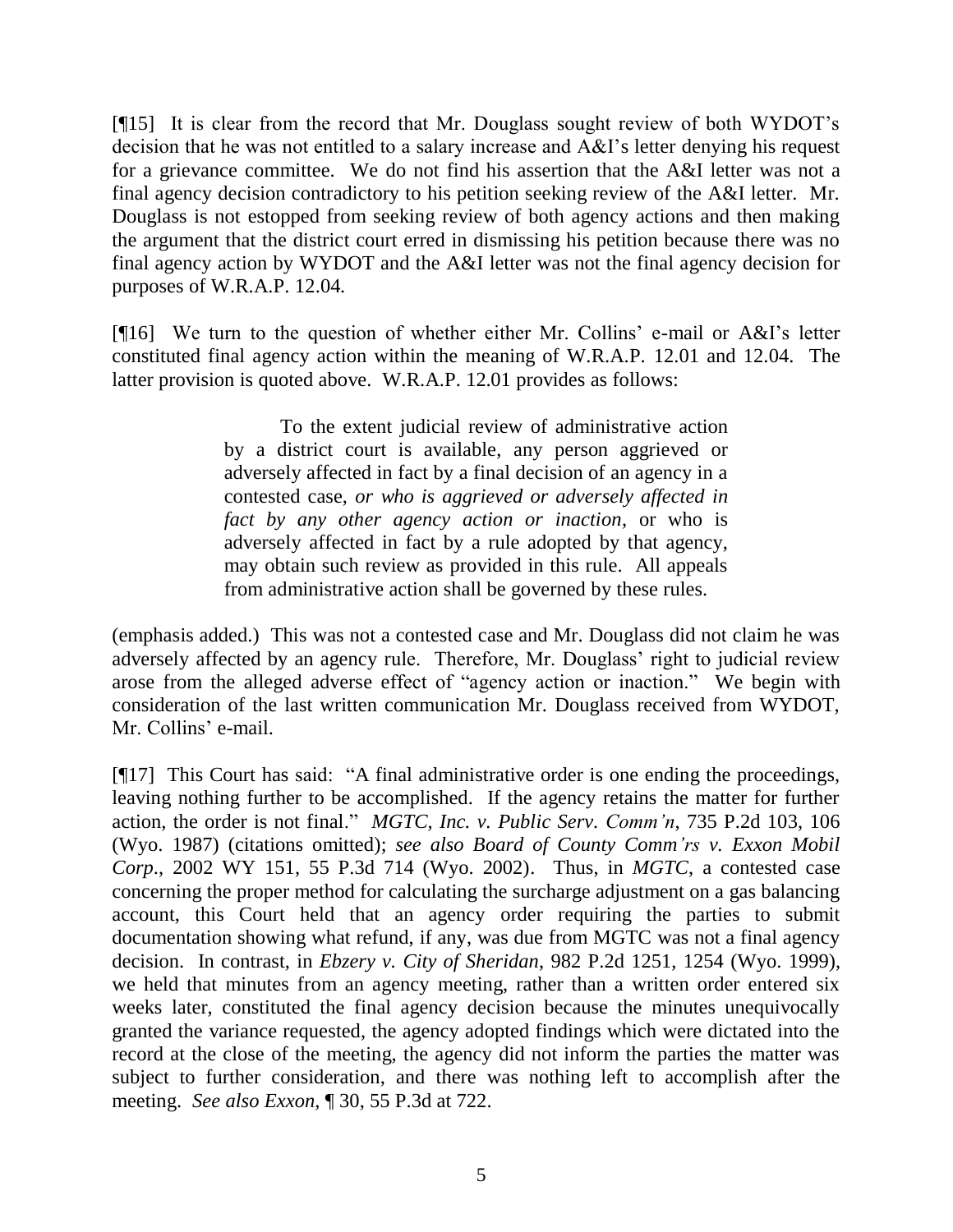[¶15] It is clear from the record that Mr. Douglass sought review of both WYDOT"s decision that he was not entitled to a salary increase and A&I"s letter denying his request for a grievance committee. We do not find his assertion that the A&I letter was not a final agency decision contradictory to his petition seeking review of the A&I letter. Mr. Douglass is not estopped from seeking review of both agency actions and then making the argument that the district court erred in dismissing his petition because there was no final agency action by WYDOT and the A&I letter was not the final agency decision for purposes of W.R.A.P. 12.04.

[¶16] We turn to the question of whether either Mr. Collins" e-mail or A&I"s letter constituted final agency action within the meaning of W.R.A.P. 12.01 and 12.04. The latter provision is quoted above. W.R.A.P. 12.01 provides as follows:

> To the extent judicial review of administrative action by a district court is available, any person aggrieved or adversely affected in fact by a final decision of an agency in a contested case, *or who is aggrieved or adversely affected in fact by any other agency action or inaction*, or who is adversely affected in fact by a rule adopted by that agency, may obtain such review as provided in this rule. All appeals from administrative action shall be governed by these rules.

(emphasis added.) This was not a contested case and Mr. Douglass did not claim he was adversely affected by an agency rule. Therefore, Mr. Douglass' right to judicial review arose from the alleged adverse effect of "agency action or inaction." We begin with consideration of the last written communication Mr. Douglass received from WYDOT, Mr. Collins' e-mail.

[¶17] This Court has said: "A final administrative order is one ending the proceedings, leaving nothing further to be accomplished. If the agency retains the matter for further action, the order is not final." *MGTC, Inc. v. Public Serv. Comm'n*, 735 P.2d 103, 106 (Wyo. 1987) (citations omitted); *see also Board of County Comm'rs v. Exxon Mobil Corp*., 2002 WY 151, 55 P.3d 714 (Wyo. 2002). Thus, in *MGTC*, a contested case concerning the proper method for calculating the surcharge adjustment on a gas balancing account, this Court held that an agency order requiring the parties to submit documentation showing what refund, if any, was due from MGTC was not a final agency decision. In contrast, in *Ebzery v. City of Sheridan*, 982 P.2d 1251, 1254 (Wyo. 1999), we held that minutes from an agency meeting, rather than a written order entered six weeks later, constituted the final agency decision because the minutes unequivocally granted the variance requested, the agency adopted findings which were dictated into the record at the close of the meeting, the agency did not inform the parties the matter was subject to further consideration, and there was nothing left to accomplish after the meeting. *See also Exxon*, ¶ 30, 55 P.3d at 722.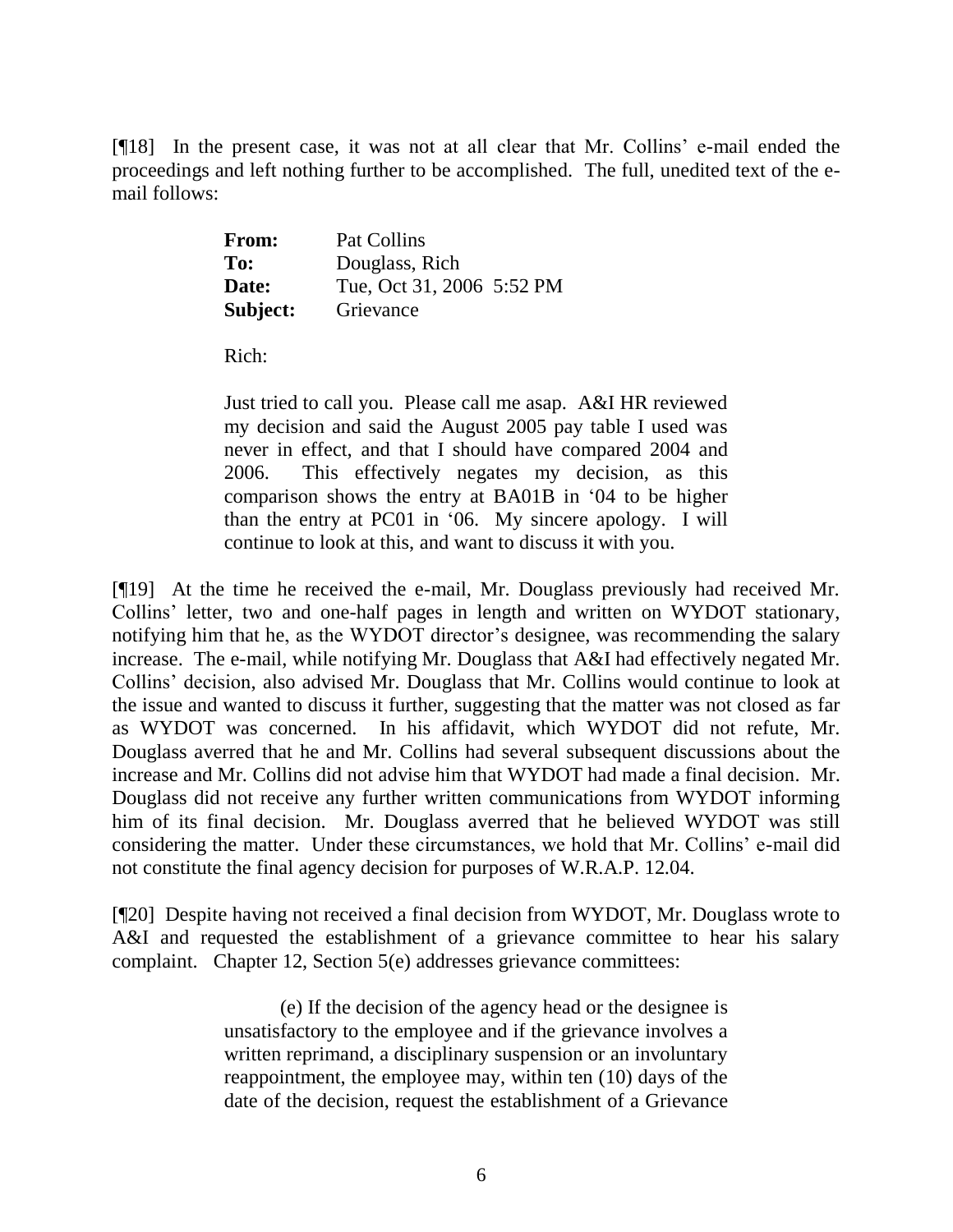[¶18] In the present case, it was not at all clear that Mr. Collins' e-mail ended the proceedings and left nothing further to be accomplished. The full, unedited text of the email follows:

| From:    | Pat Collins               |
|----------|---------------------------|
| To:      | Douglass, Rich            |
| Date:    | Tue, Oct 31, 2006 5:52 PM |
| Subject: | Grievance                 |

Rich:

Just tried to call you. Please call me asap. A&I HR reviewed my decision and said the August 2005 pay table I used was never in effect, and that I should have compared 2004 and 2006. This effectively negates my decision, as this comparison shows the entry at BA01B in "04 to be higher than the entry at PC01 in "06. My sincere apology. I will continue to look at this, and want to discuss it with you.

[¶19] At the time he received the e-mail, Mr. Douglass previously had received Mr. Collins" letter, two and one-half pages in length and written on WYDOT stationary, notifying him that he, as the WYDOT director's designee, was recommending the salary increase. The e-mail, while notifying Mr. Douglass that A&I had effectively negated Mr. Collins" decision, also advised Mr. Douglass that Mr. Collins would continue to look at the issue and wanted to discuss it further, suggesting that the matter was not closed as far as WYDOT was concerned. In his affidavit, which WYDOT did not refute, Mr. Douglass averred that he and Mr. Collins had several subsequent discussions about the increase and Mr. Collins did not advise him that WYDOT had made a final decision. Mr. Douglass did not receive any further written communications from WYDOT informing him of its final decision. Mr. Douglass averred that he believed WYDOT was still considering the matter. Under these circumstances, we hold that Mr. Collins" e-mail did not constitute the final agency decision for purposes of W.R.A.P. 12.04.

[¶20] Despite having not received a final decision from WYDOT, Mr. Douglass wrote to A&I and requested the establishment of a grievance committee to hear his salary complaint. Chapter 12, Section 5(e) addresses grievance committees:

> (e) If the decision of the agency head or the designee is unsatisfactory to the employee and if the grievance involves a written reprimand, a disciplinary suspension or an involuntary reappointment, the employee may, within ten (10) days of the date of the decision, request the establishment of a Grievance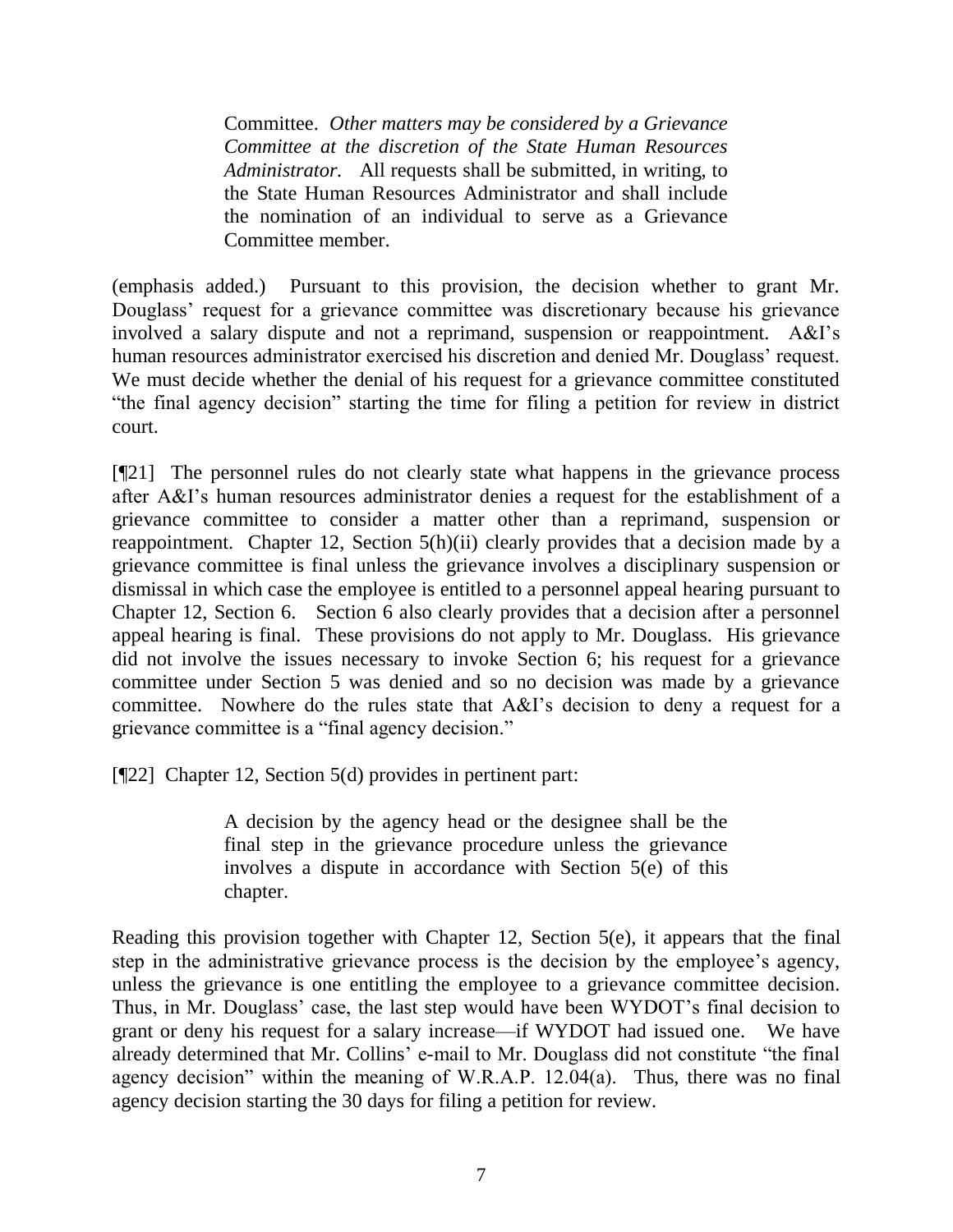Committee. *Other matters may be considered by a Grievance Committee at the discretion of the State Human Resources Administrator.* All requests shall be submitted, in writing, to the State Human Resources Administrator and shall include the nomination of an individual to serve as a Grievance Committee member.

(emphasis added.) Pursuant to this provision, the decision whether to grant Mr. Douglass' request for a grievance committee was discretionary because his grievance involved a salary dispute and not a reprimand, suspension or reappointment. A&I"s human resources administrator exercised his discretion and denied Mr. Douglass' request. We must decide whether the denial of his request for a grievance committee constituted "the final agency decision" starting the time for filing a petition for review in district court.

[¶21] The personnel rules do not clearly state what happens in the grievance process after A&I"s human resources administrator denies a request for the establishment of a grievance committee to consider a matter other than a reprimand, suspension or reappointment. Chapter 12, Section 5(h)(ii) clearly provides that a decision made by a grievance committee is final unless the grievance involves a disciplinary suspension or dismissal in which case the employee is entitled to a personnel appeal hearing pursuant to Chapter 12, Section 6. Section 6 also clearly provides that a decision after a personnel appeal hearing is final. These provisions do not apply to Mr. Douglass. His grievance did not involve the issues necessary to invoke Section 6; his request for a grievance committee under Section 5 was denied and so no decision was made by a grievance committee. Nowhere do the rules state that A&I"s decision to deny a request for a grievance committee is a "final agency decision."

[¶22] Chapter 12, Section 5(d) provides in pertinent part:

A decision by the agency head or the designee shall be the final step in the grievance procedure unless the grievance involves a dispute in accordance with Section 5(e) of this chapter.

Reading this provision together with Chapter 12, Section 5(e), it appears that the final step in the administrative grievance process is the decision by the employee"s agency, unless the grievance is one entitling the employee to a grievance committee decision. Thus, in Mr. Douglass' case, the last step would have been WYDOT's final decision to grant or deny his request for a salary increase—if WYDOT had issued one. We have already determined that Mr. Collins" e-mail to Mr. Douglass did not constitute "the final agency decision" within the meaning of W.R.A.P. 12.04(a). Thus, there was no final agency decision starting the 30 days for filing a petition for review.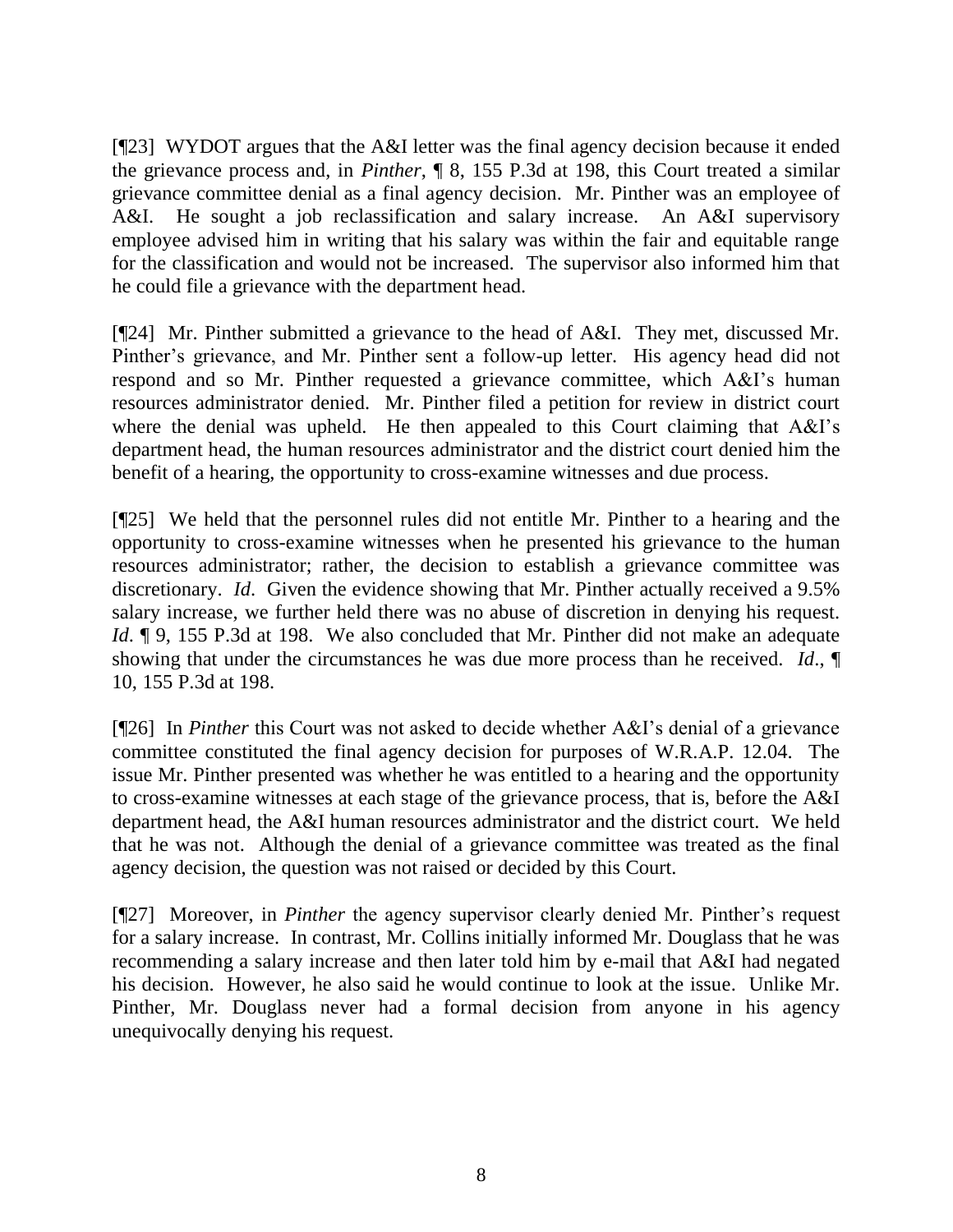[¶23] WYDOT argues that the A&I letter was the final agency decision because it ended the grievance process and, in *Pinther*, ¶ 8, 155 P.3d at 198, this Court treated a similar grievance committee denial as a final agency decision. Mr. Pinther was an employee of A&I. He sought a job reclassification and salary increase. An A&I supervisory employee advised him in writing that his salary was within the fair and equitable range for the classification and would not be increased. The supervisor also informed him that he could file a grievance with the department head.

[¶24] Mr. Pinther submitted a grievance to the head of A&I. They met, discussed Mr. Pinther's grievance, and Mr. Pinther sent a follow-up letter. His agency head did not respond and so Mr. Pinther requested a grievance committee, which A&I"s human resources administrator denied. Mr. Pinther filed a petition for review in district court where the denial was upheld. He then appealed to this Court claiming that A&I's department head, the human resources administrator and the district court denied him the benefit of a hearing, the opportunity to cross-examine witnesses and due process.

[¶25] We held that the personnel rules did not entitle Mr. Pinther to a hearing and the opportunity to cross-examine witnesses when he presented his grievance to the human resources administrator; rather, the decision to establish a grievance committee was discretionary. *Id*. Given the evidence showing that Mr. Pinther actually received a 9.5% salary increase, we further held there was no abuse of discretion in denying his request. *Id*. ¶ 9, 155 P.3d at 198. We also concluded that Mr. Pinther did not make an adequate showing that under the circumstances he was due more process than he received. *Id*., ¶ 10, 155 P.3d at 198.

[¶26] In *Pinther* this Court was not asked to decide whether A&I"s denial of a grievance committee constituted the final agency decision for purposes of W.R.A.P. 12.04. The issue Mr. Pinther presented was whether he was entitled to a hearing and the opportunity to cross-examine witnesses at each stage of the grievance process, that is, before the A&I department head, the A&I human resources administrator and the district court. We held that he was not. Although the denial of a grievance committee was treated as the final agency decision, the question was not raised or decided by this Court.

[¶27] Moreover, in *Pinther* the agency supervisor clearly denied Mr. Pinther"s request for a salary increase. In contrast, Mr. Collins initially informed Mr. Douglass that he was recommending a salary increase and then later told him by e-mail that A&I had negated his decision. However, he also said he would continue to look at the issue. Unlike Mr. Pinther, Mr. Douglass never had a formal decision from anyone in his agency unequivocally denying his request.